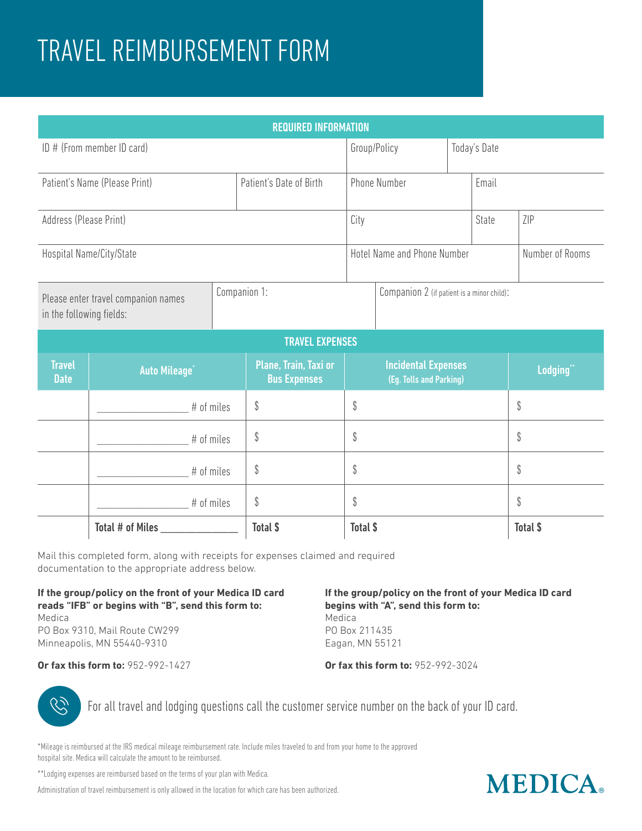# TRAVEL REIMBURSEMENT FORM

| <b>REQUIRED INFORMATION</b>                                     |                                 |  |                                              |                     |                                                       |              |                 |                 |  |
|-----------------------------------------------------------------|---------------------------------|--|----------------------------------------------|---------------------|-------------------------------------------------------|--------------|-----------------|-----------------|--|
| ID # (From member ID card)                                      |                                 |  |                                              | Group/Policy        |                                                       | Today's Date |                 |                 |  |
| Patient's Name (Please Print)                                   |                                 |  | Patient's Date of Birth                      | <b>Phone Number</b> |                                                       |              | Email           |                 |  |
| Address (Please Print)                                          |                                 |  | City                                         |                     |                                                       | State        | ZIP             |                 |  |
|                                                                 | Hospital Name/City/State        |  | Hotel Name and Phone Number                  |                     |                                                       |              | Number of Rooms |                 |  |
| Please enter travel companion names<br>in the following fields: |                                 |  | Companion 1:                                 |                     | Companion 2 (if patient is a minor child):            |              |                 |                 |  |
| <b>TRAVEL EXPENSES</b>                                          |                                 |  |                                              |                     |                                                       |              |                 |                 |  |
| <b>Travel</b><br><b>Date</b>                                    | <b>Auto Mileage<sup>®</sup></b> |  | Plane, Train, Taxi or<br><b>Bus Expenses</b> |                     | <b>Incidental Expenses</b><br>(Eg. Tolls and Parking) |              |                 | Lodging"        |  |
|                                                                 | # of miles                      |  | \$                                           | \$                  |                                                       |              |                 | \$              |  |
|                                                                 | # of miles                      |  | \$                                           | \$                  |                                                       |              |                 | \$              |  |
|                                                                 | # of miles                      |  | \$                                           | \$                  |                                                       |              | \$              |                 |  |
|                                                                 | # of miles                      |  | $\mathbb{S}$                                 | \$                  |                                                       |              |                 | $\mathbb{S}$    |  |
| Total # of Miles                                                |                                 |  | Total \$                                     | <b>Total \$</b>     |                                                       |              |                 | <b>Total \$</b> |  |

Mail this completed form, along with receipts for expenses claimed and required documentation to the appropriate address below.

#### **If the group/policy on the front of your Medica ID card reads "IFB" or begins with "B", send this form to:** Medica

PO Box 9310, Mail Route CW299 Minneapolis, MN 55440-9310

## **If the group/policy on the front of your Medica ID card begins with "A", send this form to:**

Medica PO Box 211435 Eagan, MN 55121

**Or fax this form to:** 952-992-1427

#### **Or fax this form to:** 952-992-3024



For all travel and lodging questions call the customer service number on the back of your ID card.

\*Mileage is reimbursed at the IRS medical mileage reimbursement rate. Include miles traveled to and from your home to the approved hospital site. Medica will calculate the amount to be reimbursed.

\*\*Lodging expenses are reimbursed based on the terms of your plan with Medica.

Administration of travel reimbursement is only allowed in the location for which care has been authorized.